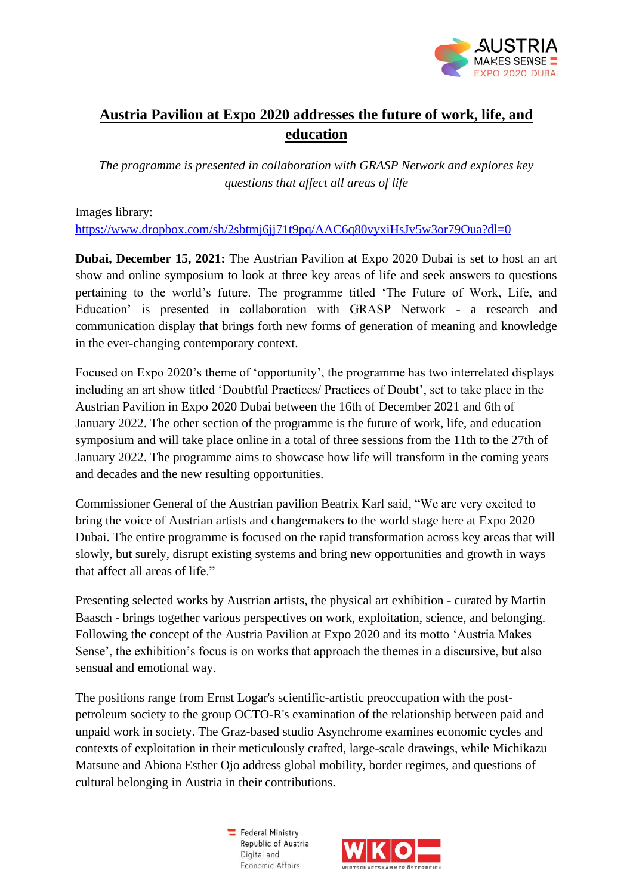

## **Austria Pavilion at Expo 2020 addresses the future of work, life, and education**

*The programme is presented in collaboration with GRASP Network and explores key questions that affect all areas of life*

Images library:

<https://www.dropbox.com/sh/2sbtmj6jj71t9pq/AAC6q80vyxiHsJv5w3or79Oua?dl=0>

**Dubai, December 15, 2021:** The Austrian Pavilion at Expo 2020 Dubai is set to host an art show and online symposium to look at three key areas of life and seek answers to questions pertaining to the world's future. The programme titled 'The Future of Work, Life, and Education' is presented in collaboration with GRASP Network - a research and communication display that brings forth new forms of generation of meaning and knowledge in the ever-changing contemporary context.

Focused on Expo 2020's theme of 'opportunity', the programme has two interrelated displays including an art show titled 'Doubtful Practices/ Practices of Doubt', set to take place in the Austrian Pavilion in Expo 2020 Dubai between the 16th of December 2021 and 6th of January 2022. The other section of the programme is the future of work, life, and education symposium and will take place online in a total of three sessions from the 11th to the 27th of January 2022. The programme aims to showcase how life will transform in the coming years and decades and the new resulting opportunities.

Commissioner General of the Austrian pavilion Beatrix Karl said, "We are very excited to bring the voice of Austrian artists and changemakers to the world stage here at Expo 2020 Dubai. The entire programme is focused on the rapid transformation across key areas that will slowly, but surely, disrupt existing systems and bring new opportunities and growth in ways that affect all areas of life."

Presenting selected works by Austrian artists, the physical art exhibition - curated by Martin Baasch - brings together various perspectives on work, exploitation, science, and belonging. Following the concept of the Austria Pavilion at Expo 2020 and its motto 'Austria Makes Sense', the exhibition's focus is on works that approach the themes in a discursive, but also sensual and emotional way.

The positions range from Ernst Logar's scientific-artistic preoccupation with the postpetroleum society to the group OCTO-R's examination of the relationship between paid and unpaid work in society. The Graz-based studio Asynchrome examines economic cycles and contexts of exploitation in their meticulously crafted, large-scale drawings, while Michikazu Matsune and Abiona Esther Ojo address global mobility, border regimes, and questions of cultural belonging in Austria in their contributions.

> $\equiv$  Federal Ministry Republic of Austria Digital and Economic Affairs